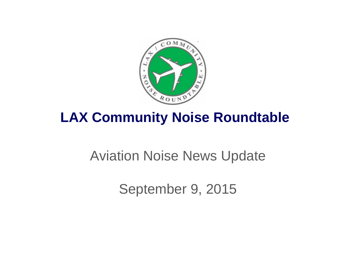

## **LAX Community Noise Roundtable**

## Aviation Noise News Update

September 9, 2015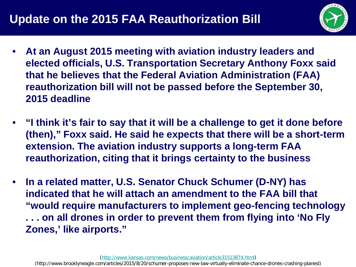

- **At an August 2015 meeting with aviation industry leaders and elected officials, U.S. Transportation Secretary Anthony Foxx said that he believes that the Federal Aviation Administration (FAA) reauthorization bill will not be passed before the September 30, 2015 deadline**
- **"I think it's fair to say that it will be a challenge to get it done before (then)," Foxx said. He said he expects that there will be a short-term extension. The aviation industry supports a long-term FAA reauthorization, citing that it brings certainty to the business**
- **In a related matter, U.S. Senator Chuck Schumer (D-NY) has indicated that he will attach an amendment to the FAA bill that "would require manufacturers to implement geo-fencing technology . . . on all drones in order to prevent them from flying into 'No Fly Zones,' like airports."**

(http://www.brooklyneagle.com/articles/2015/8/20/schumer-proposes-new-law-virtually-eliminate-chance-drones-crashing-planesl)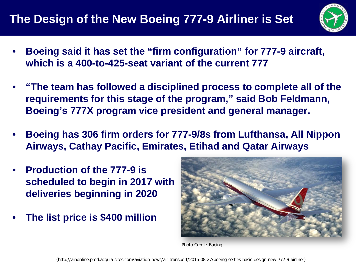

- **Boeing said it has set the "firm configuration" for 777-9 aircraft, which is a 400-to-425-seat variant of the current 777**
- **"The team has followed a disciplined process to complete all of the requirements for this stage of the program," said Bob Feldmann, Boeing's 777X program vice president and general manager.**
- **Boeing has 306 firm orders for 777-9/8s from Lufthansa, All Nippon Airways, Cathay Pacific, Emirates, Etihad and Qatar Airways**
- **Production of the 777-9 is scheduled to begin in 2017 with deliveries beginning in 2020**
- **The list price is \$400 million**



Photo Credit: Boeing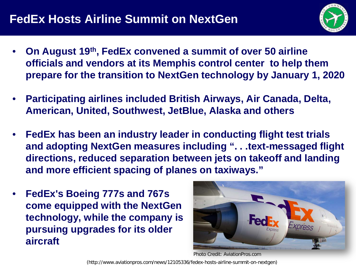## **FedEx Hosts Airline Summit on NextGen**



- **On August 19th, FedEx convened a summit of over 50 airline officials and vendors at its Memphis control center to help them prepare for the transition to NextGen technology by January 1, 2020**
- **Participating airlines included British Airways, Air Canada, Delta, American, United, Southwest, JetBlue, Alaska and others**
- **FedEx has been an industry leader in conducting flight test trials and adopting NextGen measures including ". . .text-messaged flight directions, reduced separation between jets on takeoff and landing and more efficient spacing of planes on taxiways."**
- **FedEx's Boeing 777s and 767s come equipped with the NextGen technology, while the company is pursuing upgrades for its older aircraft**



Photo Credit: AviationPros.com

(http://www.aviationpros.com/news/12105336/fedex-hosts-airline-summit-on-nextgen)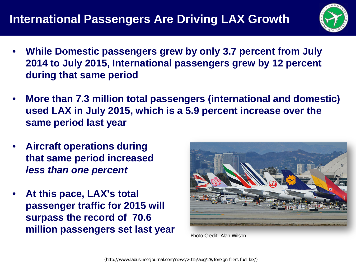

- **While Domestic passengers grew by only 3.7 percent from July 2014 to July 2015, International passengers grew by 12 percent during that same period**
- **More than 7.3 million total passengers (international and domestic) used LAX in July 2015, which is a 5.9 percent increase over the same period last year**
- **Aircraft operations during that same period increased** *less than one percent*
- **At this pace, LAX's total passenger traffic for 2015 will surpass the record of 70.6 million passengers set last year**



Photo Credit: Alan Wilson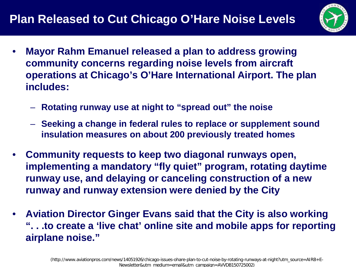

- **Mayor Rahm Emanuel released a plan to address growing community concerns regarding noise levels from aircraft operations at Chicago's O'Hare International Airport. The plan includes:**
	- **Rotating runway use at night to "spread out" the noise**
	- **Seeking a change in federal rules to replace or supplement sound insulation measures on about 200 previously treated homes**
- **Community requests to keep two diagonal runways open, implementing a mandatory "fly quiet" program, rotating daytime runway use, and delaying or canceling construction of a new runway and runway extension were denied by the City**
- **Aviation Director Ginger Evans said that the City is also working ". . .to create a 'live chat' online site and mobile apps for reporting airplane noise."**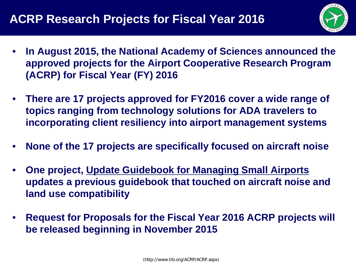

- **In August 2015, the National Academy of Sciences announced the approved projects for the Airport Cooperative Research Program (ACRP) for Fiscal Year (FY) 2016**
- **There are 17 projects approved for FY2016 cover a wide range of topics ranging from technology solutions for ADA travelers to incorporating client resiliency into airport management systems**
- **None of the 17 projects are specifically focused on aircraft noise**
- **One project, Update Guidebook for Managing Small Airports updates a previous guidebook that touched on aircraft noise and land use compatibility**
- **Request for Proposals for the Fiscal Year 2016 ACRP projects will be released beginning in November 2015**